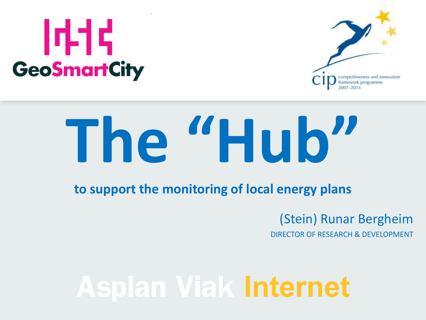## 1414 **GeoSmartCity**



# **The "Hub"**

**to support the monitoring of local energy plans**

#### (Stein) Runar Bergheim

DIRECTOR OF RESEARCH & DEVELOPMENT

## **Asplan Viak Internet**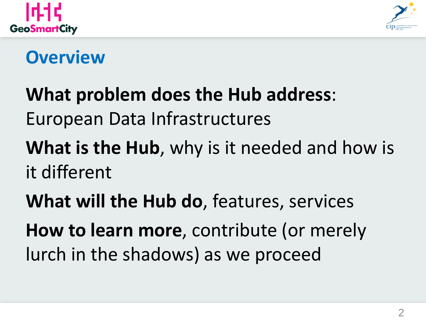



#### **Overview**

## **What problem does the Hub address**: European Data Infrastructures

### **What is the Hub**, why is it needed and how is it different

**What will the Hub do**, features, services **How to learn more**, contribute (or merely lurch in the shadows) as we proceed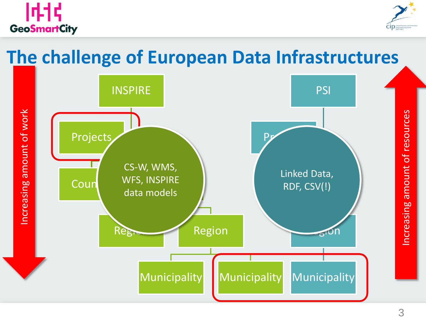



#### **The challenge of European Data Infrastructures**

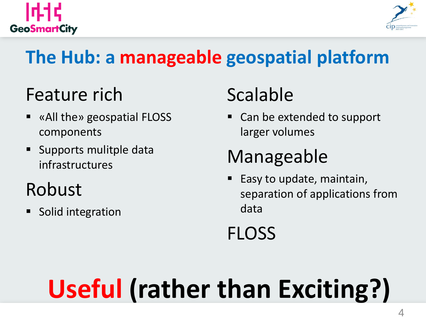



### **The Hub: a manageable geospatial platform**

#### Feature rich

- «All the» geospatial FLOSS components
- Supports mulitple data infrastructures

### Robust

Solid integration

## Scalable

 Can be extended to support larger volumes

### Manageable

 Easy to update, maintain, separation of applications from data

**FLOSS** 

## **Useful (rather than Exciting?)**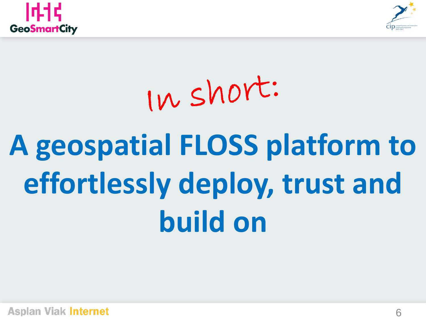



## In short: **A geospatial FLOSS platform to effortlessly deploy, trust and build on**

**Asplan Viak Internet**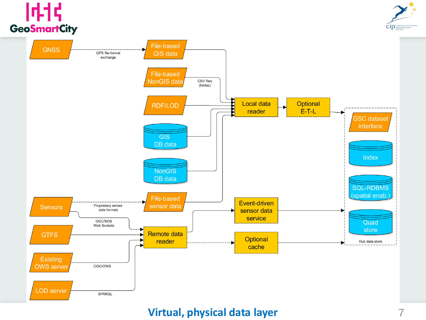#### 时代 **GeoSmartCity**





#### **Virtual, physical data layer** 7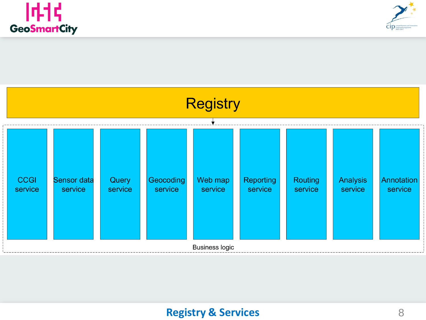





#### **Registry & Services** 8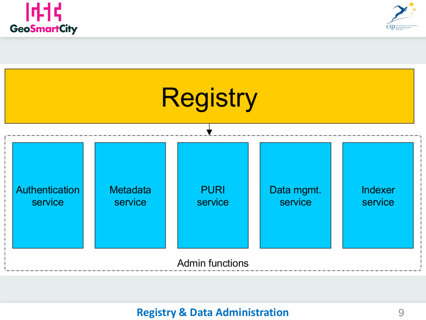





#### **Registry & Data Administration** 9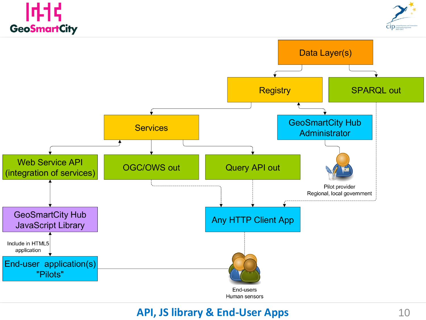





#### **API, JS library & End-User Apps** 10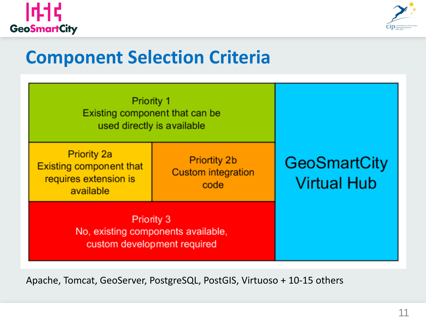



#### **Component Selection Criteria**

| Priority 1<br>Existing component that can be<br>used directly is available                 |                                                          |                                           |
|--------------------------------------------------------------------------------------------|----------------------------------------------------------|-------------------------------------------|
| <b>Priority 2a</b><br><b>Existing component that</b><br>requires extension is<br>available | <b>Priortity 2b</b><br><b>Custom integration</b><br>code | <b>GeoSmartCity</b><br><b>Virtual Hub</b> |
| Priority 3<br>No, existing components available,<br>custom development required            |                                                          |                                           |

Apache, Tomcat, GeoServer, PostgreSQL, PostGIS, Virtuoso + 10-15 others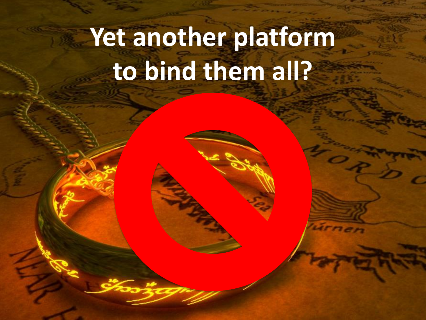## **Yet another platform to bind them all?**